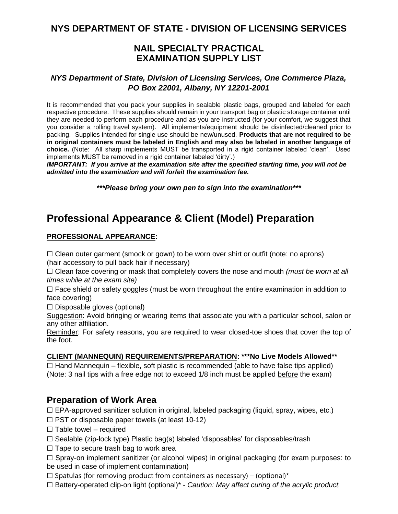### **NYS DEPARTMENT OF STATE - DIVISION OF LICENSING SERVICES**

### **NAIL SPECIALTY PRACTICAL EXAMINATION SUPPLY LIST**

#### *NYS Department of State, Division of Licensing Services, One Commerce Plaza, PO Box 22001, Albany, NY 12201-2001*

It is recommended that you pack your supplies in sealable plastic bags, grouped and labeled for each respective procedure. These supplies should remain in your transport bag or plastic storage container until they are needed to perform each procedure and as you are instructed (for your comfort, we suggest that you consider a rolling travel system). All implements/equipment should be disinfected/cleaned prior to packing. Supplies intended for single use should be new/unused. **Products that are not required to be in original containers must be labeled in English and may also be labeled in another language of choice.** (Note: All sharp implements MUST be transported in a rigid container labeled 'clean'. Used implements MUST be removed in a rigid container labeled 'dirty'.)

*IMPORTANT: If you arrive at the examination site after the specified starting time, you will not be admitted into the examination and will forfeit the examination fee.*

*\*\*\*Please bring your own pen to sign into the examination\*\*\**

# **Professional Appearance & Client (Model) Preparation**

#### **PROFESSIONAL APPEARANCE:**

 $\Box$  Clean outer garment (smock or gown) to be worn over shirt or outfit (note: no aprons) (hair accessory to pull back hair if necessary)

☐ Clean face covering or mask that completely covers the nose and mouth *(must be worn at all times while at the exam site)*

 $\Box$  Face shield or safety goggles (must be worn throughout the entire examination in addition to face covering)

 $\Box$  Disposable gloves (optional)

Suggestion: Avoid bringing or wearing items that associate you with a particular school, salon or any other affiliation.

Reminder: For safety reasons, you are required to wear closed-toe shoes that cover the top of the foot.

#### **CLIENT (MANNEQUIN) REQUIREMENTS/PREPARATION: \*\*\*No Live Models Allowed\*\***

 $\Box$  Hand Mannequin – flexible, soft plastic is recommended (able to have false tips applied) (Note: 3 nail tips with a free edge not to exceed 1/8 inch must be applied before the exam)

### **Preparation of Work Area**

☐ EPA-approved sanitizer solution in original, labeled packaging (liquid, spray, wipes, etc.)

- $\Box$  PST or disposable paper towels (at least 10-12)
- $\Box$  Table towel required
- $\Box$  Sealable (zip-lock type) Plastic bag(s) labeled 'disposables' for disposables/trash
- $\Box$  Tape to secure trash bag to work area

 $\Box$  Spray-on implement sanitizer (or alcohol wipes) in original packaging (for exam purposes: to be used in case of implement contamination)

 $\Box$  Spatulas (for removing product from containers as necessary) – (optional)\*

☐ Battery-operated clip-on light (optional)\* - *Caution: May affect curing of the acrylic product.*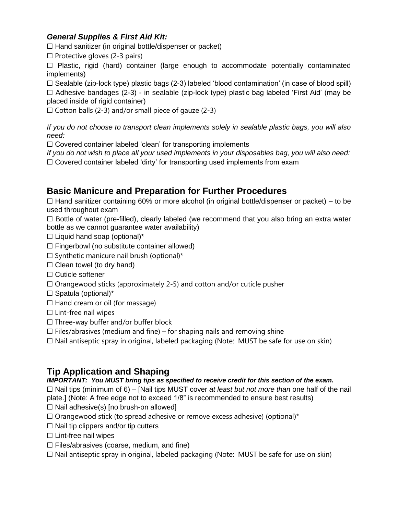### *General Supplies & First Aid Kit:*

 $\Box$  Hand sanitizer (in original bottle/dispenser or packet)

 $\Box$  Protective gloves (2-3 pairs)

 $\Box$  Plastic, rigid (hard) container (large enough to accommodate potentially contaminated implements)

 $\Box$  Sealable (zip-lock type) plastic bags (2-3) labeled 'blood contamination' (in case of blood spill) ☐ Adhesive bandages (2-3) - in sealable (zip-lock type) plastic bag labeled 'First Aid' (may be placed inside of rigid container)

 $\Box$  Cotton balls (2-3) and/or small piece of gauze (2-3)

*If you do not choose to transport clean implements solely in sealable plastic bags, you will also need:*

☐ Covered container labeled 'clean' for transporting implements

*If you do not wish to place all your used implements in your disposables bag, you will also need:*  $\Box$  Covered container labeled 'dirty' for transporting used implements from exam

### **Basic Manicure and Preparation for Further Procedures**

 $\Box$  Hand sanitizer containing 60% or more alcohol (in original bottle/dispenser or packet) – to be used throughout exam

 $\Box$  Bottle of water (pre-filled), clearly labeled (we recommend that you also bring an extra water bottle as we cannot guarantee water availability)

- $\Box$  Liquid hand soap (optional)\*
- $\Box$  Fingerbowl (no substitute container allowed)
- $\Box$  Synthetic manicure nail brush (optional)\*
- $\Box$  Clean towel (to dry hand)
- ☐ Cuticle softener
- $\Box$  Orangewood sticks (approximately 2-5) and cotton and/or cuticle pusher
- □ Spatula (optional)\*
- $\Box$  Hand cream or oil (for massage)
- □ Lint-free nail wipes
- $\Box$  Three-way buffer and/or buffer block
- $\Box$  Files/abrasives (medium and fine) for shaping nails and removing shine
- $\Box$  Nail antiseptic spray in original, labeled packaging (Note: MUST be safe for use on skin)

## **Tip Application and Shaping**

#### *IMPORTANT: You MUST bring tips as specified to receive credit for this section of the exam.*

☐ Nail tips (minimum of 6) – [Nail tips MUST cover *at least but not more than* one half of the nail plate.] (Note: A free edge not to exceed 1/8" is recommended to ensure best results)

- $\Box$  Nail adhesive(s) [no brush-on allowed]
- $\Box$  Orangewood stick (to spread adhesive or remove excess adhesive) (optional)\*
- $\Box$  Nail tip clippers and/or tip cutters
- ☐ Lint-free nail wipes
- $\Box$  Files/abrasives (coarse, medium, and fine)
- $\Box$  Nail antiseptic spray in original, labeled packaging (Note: MUST be safe for use on skin)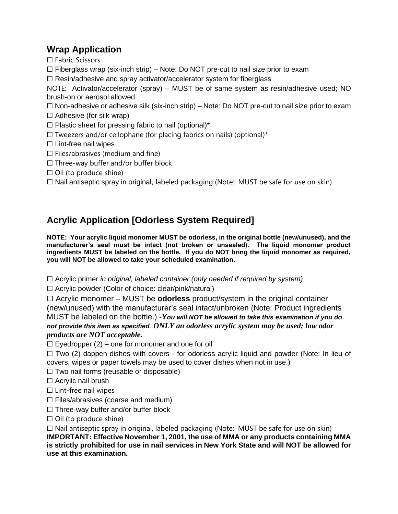## **Wrap Application**

☐ Fabric Scissors

- $\Box$  Fiberglass wrap (six-inch strip) Note: Do NOT pre-cut to nail size prior to exam
- ☐ Resin/adhesive and spray activator/accelerator system for fiberglass

NOTE: Activator/accelerator (spray) – MUST be of same system as resin/adhesive used; NO brush-on or aerosol allowed

 $\Box$  Non-adhesive or adhesive silk (six-inch strip) – Note: Do NOT pre-cut to nail size prior to exam

 $\Box$  Adhesive (for silk wrap)

 $\Box$  Plastic sheet for pressing fabric to nail (optional)\*

 $\Box$  Tweezers and/or cellophane (for placing fabrics on nails) (optional)\*

□ Lint-free nail wipes

- $\Box$  Files/abrasives (medium and fine)
- $\Box$  Three-way buffer and/or buffer block
- $\Box$  Oil (to produce shine)

☐ Nail antiseptic spray in original, labeled packaging (Note: MUST be safe for use on skin)

# **Acrylic Application [Odorless System Required]**

**NOTE: Your acrylic liquid monomer MUST be odorless, in the original bottle (new/unused), and the manufacturer's seal must be intact (not broken or unsealed). The liquid monomer product ingredients MUST be labeled on the bottle. If you do NOT bring the liquid monomer as required, you will NOT be allowed to take your scheduled examination.**

☐ Acrylic primer *in original, labeled container (only needed if required by system)*

☐ Acrylic powder (Color of choice: clear/pink/natural)

☐ Acrylic monomer – MUST be **odorless** product/system in the original container (new/unused) with the manufacturer's seal intact/unbroken (Note: Product ingredients MUST be labeled on the bottle.) -*You will NOT be allowed to take this examination if you do not provide this item as specified*. *ONLY an odorless acrylic system may be used; low odor products are NOT acceptable.*

 $\Box$  Eyedropper (2) – one for monomer and one for oil

 $\Box$  Two (2) dappen dishes with covers - for odorless acrylic liquid and powder (Note: In lieu of covers, wipes or paper towels may be used to cover dishes when not in use.)

 $\Box$  Two nail forms (reusable or disposable)

 $\Box$  Acrylic nail brush

 $\Box$  Lint-free nail wipes

 $\Box$  Files/abrasives (coarse and medium)

☐ Three-way buffer and/or buffer block

 $\Box$  Oil (to produce shine)

☐ Nail antiseptic spray in original, labeled packaging (Note: MUST be safe for use on skin)

**IMPORTANT: Effective November 1, 2001, the use of MMA or any products containing MMA is strictly prohibited for use in nail services in New York State and will NOT be allowed for use at this examination.**